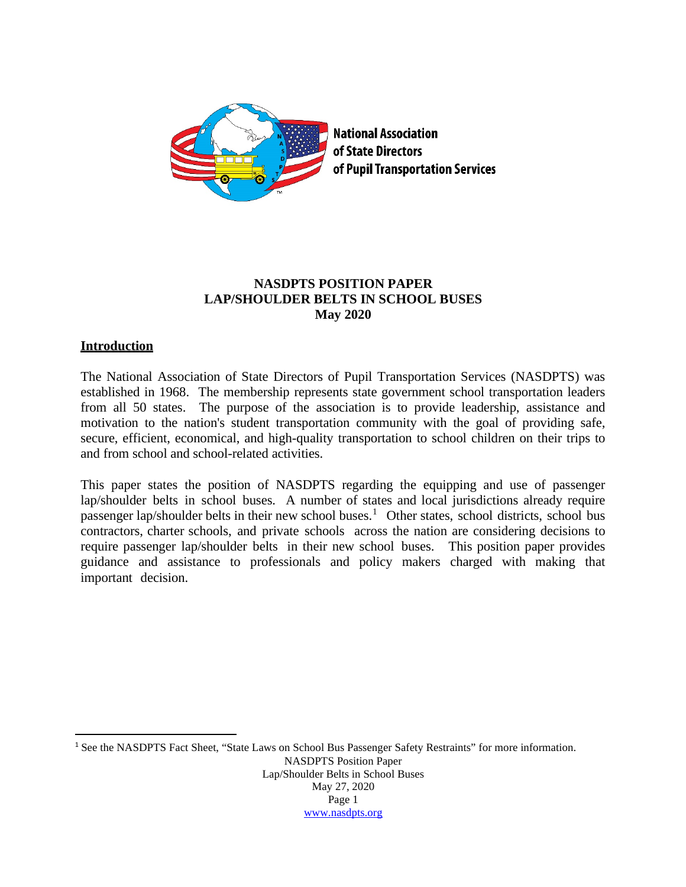

# **NASDPTS POSITION PAPER LAP/SHOULDER BELTS IN SCHOOL BUSES May 2020**

## **Introduction**

The National Association of State Directors of Pupil Transportation Services (NASDPTS) was established in 1968. The membership represents state government school transportation leaders from all 50 states. The purpose of the association is to provide leadership, assistance and motivation to the nation's student transportation community with the goal of providing safe, secure, efficient, economical, and high-quality transportation to school children on their trips to and from school and school-related activities.

This paper states the position of NASDPTS regarding the equipping and use of passenger lap/shoulder belts in school buses. A number of states and local jurisdictions already require passenger lap/shoulder belts in their new school buses.<sup>[1](#page-0-0)</sup> Other states, school districts, school bus contractors, charter schools, and private schools across the nation are considering decisions to require passenger lap/shoulder belts in their new school buses. This position paper provides guidance and assistance to professionals and policy makers charged with making that important decision.

<span id="page-0-0"></span>NASDPTS Position Paper Lap/Shoulder Belts in School Buses May 27, 2020 Page 1 [www.nasdpts.org](http://www.nasdpts.org/) <sup>1</sup> See the NASDPTS Fact Sheet, "State Laws on School Bus Passenger Safety Restraints" for more information.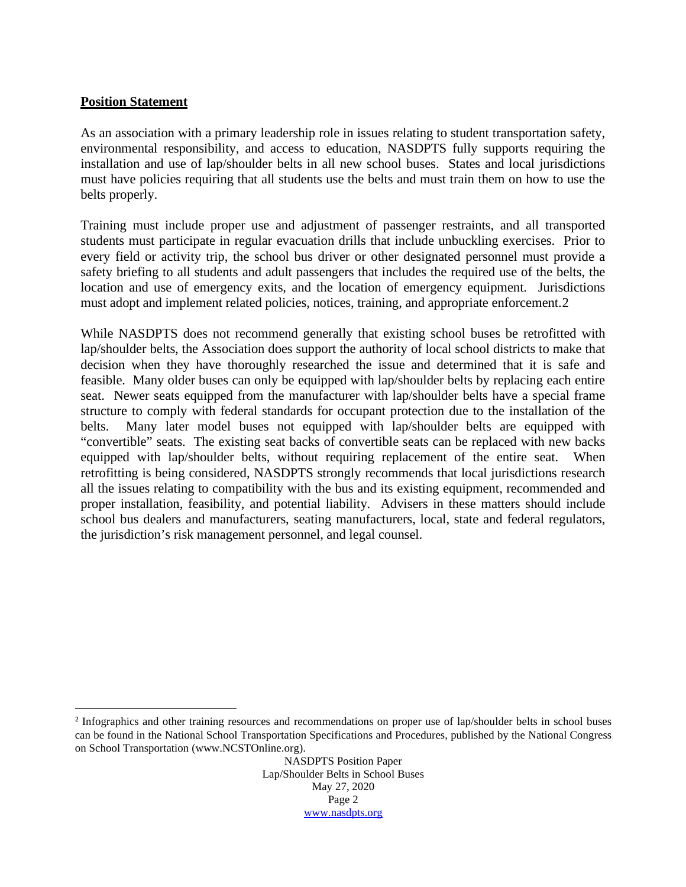## **Position Statement**

As an association with a primary leadership role in issues relating to student transportation safety, environmental responsibility, and access to education, NASDPTS fully supports requiring the installation and use of lap/shoulder belts in all new school buses. States and local jurisdictions must have policies requiring that all students use the belts and must train them on how to use the belts properly.

Training must include proper use and adjustment of passenger restraints, and all transported students must participate in regular evacuation drills that include unbuckling exercises. Prior to every field or activity trip, the school bus driver or other designated personnel must provide a safety briefing to all students and adult passengers that includes the required use of the belts, the location and use of emergency exits, and the location of emergency equipment. Jurisdictions must adopt and implement related policies, notices, training, and appropriate enforcement.[2](#page-1-0)

While NASDPTS does not recommend generally that existing school buses be retrofitted with lap/shoulder belts, the Association does support the authority of local school districts to make that decision when they have thoroughly researched the issue and determined that it is safe and feasible. Many older buses can only be equipped with lap/shoulder belts by replacing each entire seat. Newer seats equipped from the manufacturer with lap/shoulder belts have a special frame structure to comply with federal standards for occupant protection due to the installation of the belts. Many later model buses not equipped with lap/shoulder belts are equipped with "convertible" seats. The existing seat backs of convertible seats can be replaced with new backs equipped with lap/shoulder belts, without requiring replacement of the entire seat. When retrofitting is being considered, NASDPTS strongly recommends that local jurisdictions research all the issues relating to compatibility with the bus and its existing equipment, recommended and proper installation, feasibility, and potential liability. Advisers in these matters should include school bus dealers and manufacturers, seating manufacturers, local, state and federal regulators, the jurisdiction's risk management personnel, and legal counsel.

<span id="page-1-0"></span><sup>2</sup> Infographics and other training resources and recommendations on proper use of lap/shoulder belts in school buses can be found in the National School Transportation Specifications and Procedures, published by the National Congress on School Transportation (www.NCSTOnline.org).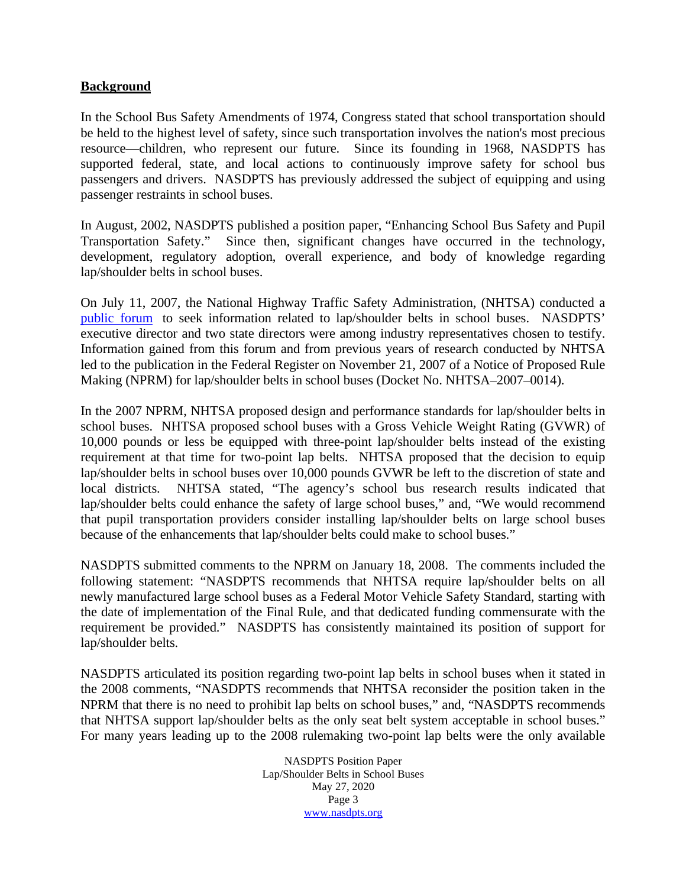# **Background**

In the School Bus Safety Amendments of 1974, Congress stated that school transportation should be held to the highest level of safety, since such transportation involves the nation's most precious resource—children, who represent our future. Since its founding in 1968, NASDPTS has supported federal, state, and local actions to continuously improve safety for school bus passengers and drivers. NASDPTS has previously addressed the subject of equipping and using passenger restraints in school buses.

In August, 2002, NASDPTS published a position paper, "Enhancing School Bus Safety and Pupil Transportation Safety." Since then, significant changes have occurred in the technology, development, regulatory adoption, overall experience, and body of knowledge regarding lap/shoulder belts in school buses.

On July 11, 2007, the National Highway Traffic Safety Administration, (NHTSA) conducted a [public](https://www.federalregister.gov/documents/2007/06/04/E7-10568/federal-motor-vehicle-safety-standards-for-school-bus-passenger-protection) forum to seek information related to lap/shoulder belts in school buses. NASDPTS' executive director and two state directors were among industry representatives chosen to testify. Information gained from this forum and from previous years of research conducted by NHTSA led to the publication in the Federal Register on November 21, 2007 of a Notice of Proposed Rule Making (NPRM) for lap/shoulder belts in school buses (Docket No. NHTSA–2007–0014).

In the 2007 NPRM, NHTSA proposed design and performance standards for lap/shoulder belts in school buses. NHTSA proposed school buses with a Gross Vehicle Weight Rating (GVWR) of 10,000 pounds or less be equipped with three-point lap/shoulder belts instead of the existing requirement at that time for two-point lap belts. NHTSA proposed that the decision to equip lap/shoulder belts in school buses over 10,000 pounds GVWR be left to the discretion of state and local districts. NHTSA stated, "The agency's school bus research results indicated that lap/shoulder belts could enhance the safety of large school buses," and, "We would recommend that pupil transportation providers consider installing lap/shoulder belts on large school buses because of the enhancements that lap/shoulder belts could make to school buses."

NASDPTS submitted comments to the NPRM on January 18, 2008. The comments included the following statement: "NASDPTS recommends that NHTSA require lap/shoulder belts on all newly manufactured large school buses as a Federal Motor Vehicle Safety Standard, starting with the date of implementation of the Final Rule, and that dedicated funding commensurate with the requirement be provided." NASDPTS has consistently maintained its position of support for lap/shoulder belts.

NASDPTS articulated its position regarding two-point lap belts in school buses when it stated in the 2008 comments, "NASDPTS recommends that NHTSA reconsider the position taken in the NPRM that there is no need to prohibit lap belts on school buses," and, "NASDPTS recommends that NHTSA support lap/shoulder belts as the only seat belt system acceptable in school buses." For many years leading up to the 2008 rulemaking two-point lap belts were the only available

> NASDPTS Position Paper Lap/Shoulder Belts in School Buses May 27, 2020 Page 3 [www.nasdpts.org](http://www.nasdpts.org/)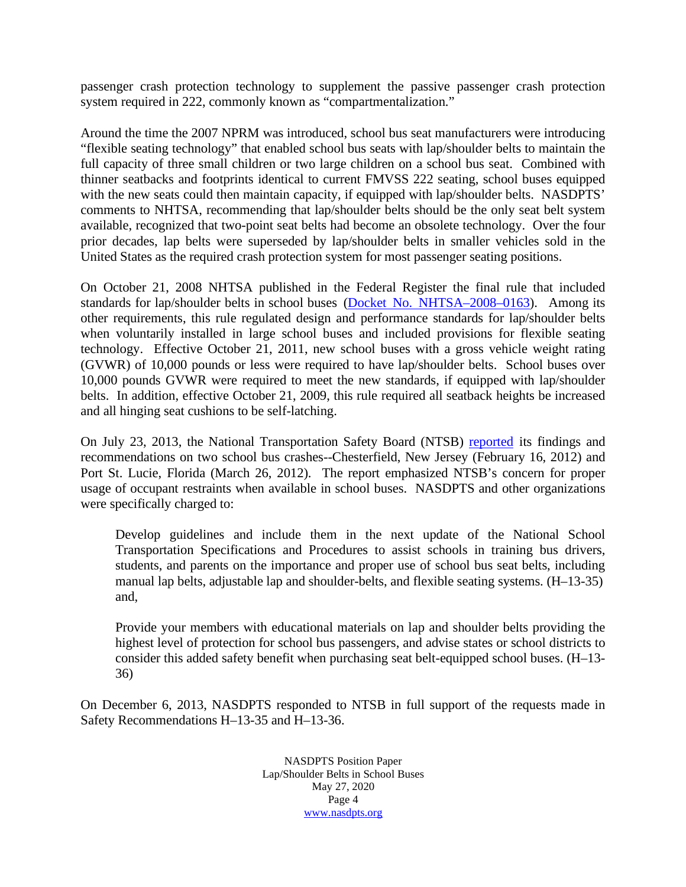passenger crash protection technology to supplement the passive passenger crash protection system required in 222, commonly known as "compartmentalization."

Around the time the 2007 NPRM was introduced, school bus seat manufacturers were introducing "flexible seating technology" that enabled school bus seats with lap/shoulder belts to maintain the full capacity of three small children or two large children on a school bus seat. Combined with thinner seatbacks and footprints identical to current FMVSS 222 seating, school buses equipped with the new seats could then maintain capacity, if equipped with lap/shoulder belts. NASDPTS' comments to NHTSA, recommending that lap/shoulder belts should be the only seat belt system available, recognized that two-point seat belts had become an obsolete technology. Over the four prior decades, lap belts were superseded by lap/shoulder belts in smaller vehicles sold in the United States as the required crash protection system for most passenger seating positions.

On October 21, 2008 NHTSA published in the Federal Register the final rule that included standards for lap/shoulder belts in school buses (Docket No. [NHTSA–2008–0163\)](https://www.nhtsa.gov/reports/SchoolBusBeltsFinal.pdf). Among its other requirements, this rule regulated design and performance standards for lap/shoulder belts when voluntarily installed in large school buses and included provisions for flexible seating technology. Effective October 21, 2011, new school buses with a gross vehicle weight rating (GVWR) of 10,000 pounds or less were required to have lap/shoulder belts. School buses over 10,000 pounds GVWR were required to meet the new standards, if equipped with lap/shoulder belts. In addition, effective October 21, 2009, this rule required all seatback heights be increased and all hinging seat cushions to be self-latching.

On July 23, 2013, the National Transportation Safety Board (NTSB) [reported](https://www.ntsb.gov/investigations/AccidentReports/Pages/HAR1301.aspx) its findings and recommendations on two school bus crashes--Chesterfield, New Jersey (February 16, 2012) and Port St. Lucie, Florida (March 26, 2012). The report emphasized NTSB's concern for proper usage of occupant restraints when available in school buses. NASDPTS and other organizations were specifically charged to:

Develop guidelines and include them in the next update of the National School Transportation Specifications and Procedures to assist schools in training bus drivers, students, and parents on the importance and proper use of school bus seat belts, including manual lap belts, adjustable lap and shoulder-belts, and flexible seating systems. (H–13-35) and,

Provide your members with educational materials on lap and shoulder belts providing the highest level of protection for school bus passengers, and advise states or school districts to consider this added safety benefit when purchasing seat belt-equipped school buses. (H–13- 36)

On December 6, 2013, NASDPTS responded to NTSB in full support of the requests made in Safety Recommendations H–13-35 and H–13-36.

> NASDPTS Position Paper Lap/Shoulder Belts in School Buses May 27, 2020 Page 4 [www.nasdpts.org](http://www.nasdpts.org/)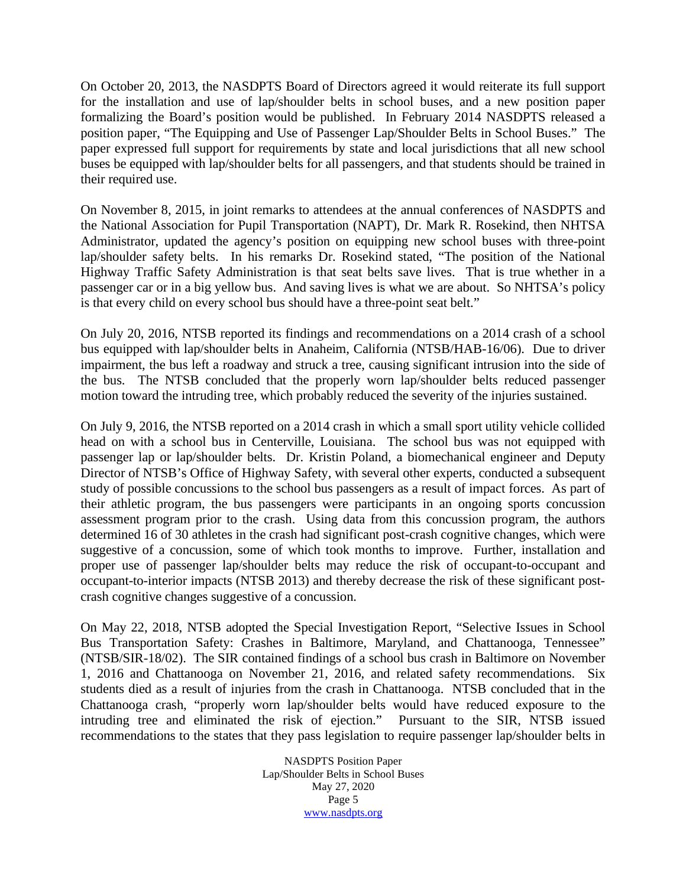On October 20, 2013, the NASDPTS Board of Directors agreed it would reiterate its full support for the installation and use of lap/shoulder belts in school buses, and a new position paper formalizing the Board's position would be published. In February 2014 NASDPTS released a [position paper,](http://www.nasdpts.org/Documents/NASDPTS%20POSITION%20PAPER%20PASSENGER%20LAP%20SHOULDER%20BELTS%20FINAL%20FEB%202014.pdf) "The Equipping and Use of Passenger Lap/Shoulder Belts in School Buses." The paper expressed full support for requirements by state and local jurisdictions that all new school buses be equipped with lap/shoulder belts for all passengers, and that students should be trained in their required use.

On November 8, 2015, in joint remarks to attendees at the annual conferences of NASDPTS and the National Association for Pupil Transportation (NAPT), Dr. Mark R. Rosekind, then NHTSA Administrator, updated the agency's position on equipping new school buses with three-point lap/shoulder safety belts. In his remarks Dr. Rosekind stated, "The position of the National Highway Traffic Safety Administration is that seat belts save lives. That is true whether in a passenger car or in a big yellow bus. And saving lives is what we are about. So NHTSA's policy is that every child on every school bus should have a three-point seat belt."

On July 20, 2016, NTSB reported its findings and recommendations on a 2014 crash of a school bus equipped with lap/shoulder belts in Anaheim, California (NTSB/HAB-16/06). Due to driver impairment, the bus left a roadway and struck a tree, causing significant intrusion into the side of the bus. The NTSB concluded that the properly worn lap/shoulder belts reduced passenger motion toward the intruding tree, which probably reduced the severity of the injuries sustained.

On July 9, 2016, the NTSB reported on a 2014 crash in which a small sport utility vehicle collided head on with a school bus in Centerville, Louisiana. The school bus was not equipped with passenger lap or lap/shoulder belts. Dr. Kristin Poland, a biomechanical engineer and Deputy Director of NTSB's Office of Highway Safety, with several other experts, conducted a subsequent study of possible concussions to the school bus passengers as a result of impact forces. As part of their athletic program, the bus passengers were participants in an ongoing sports concussion assessment program prior to the crash. Using data from this concussion program, the authors determined 16 of 30 athletes in the crash had significant post-crash cognitive changes, which were suggestive of a concussion, some of which took months to improve. Further, installation and proper use of passenger lap/shoulder belts may reduce the risk of occupant-to-occupant and occupant-to-interior impacts (NTSB 2013) and thereby decrease the risk of these significant postcrash cognitive changes suggestive of a concussion.

On May 22, 2018, NTSB adopted the Special Investigation Report, "Selective Issues in School Bus Transportation Safety: Crashes in Baltimore, Maryland, and Chattanooga, Tennessee" (NTSB/SIR-18/02). The SIR contained findings of a school bus crash in Baltimore on November 1, 2016 and Chattanooga on November 21, 2016, and related safety recommendations. Six students died as a result of injuries from the crash in Chattanooga. NTSB concluded that in the Chattanooga crash, "properly worn lap/shoulder belts would have reduced exposure to the intruding tree and eliminated the risk of ejection." Pursuant to the SIR, NTSB issued recommendations to the states that they pass legislation to require passenger lap/shoulder belts in

> NASDPTS Position Paper Lap/Shoulder Belts in School Buses May 27, 2020 Page 5 [www.nasdpts.org](http://www.nasdpts.org/)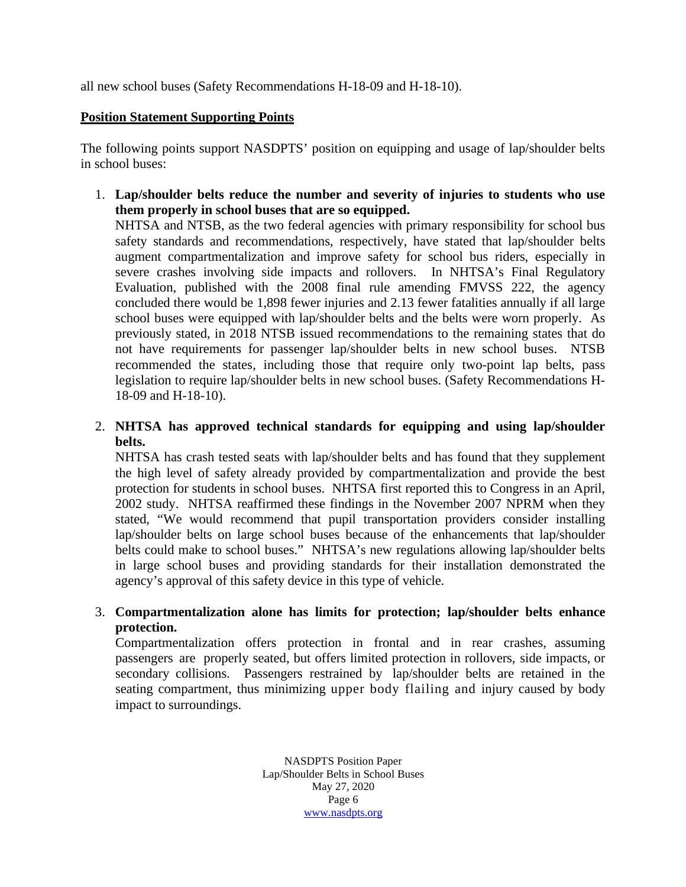all new school buses (Safety Recommendations H-18-09 and H-18-10).

# **Position Statement Supporting Points**

The following points support NASDPTS' position on equipping and usage of lap/shoulder belts in school buses:

1. **Lap/shoulder belts reduce the number and severity of injuries to students who use them properly in school buses that are so equipped.**

NHTSA and NTSB, as the two federal agencies with primary responsibility for school bus safety standards and recommendations, respectively, have stated that lap/shoulder belts augment compartmentalization and improve safety for school bus riders, especially in severe crashes involving side impacts and rollovers. In NHTSA's Final Regulatory Evaluation, published with the 2008 final rule amending FMVSS 222, the agency concluded there would be 1,898 fewer injuries and 2.13 fewer fatalities annually if all large school buses were equipped with lap/shoulder belts and the belts were worn properly. As previously stated, in 2018 NTSB issued recommendations to the remaining states that do not have requirements for passenger lap/shoulder belts in new school buses. NTSB recommended the states, including those that require only two-point lap belts, pass legislation to require lap/shoulder belts in new school buses. (Safety Recommendations H-18-09 and H-18-10).

2. **NHTSA has approved technical standards for equipping and using lap/shoulder belts.**

NHTSA has crash tested seats with lap/shoulder belts and has found that they supplement the high level of safety already provided by compartmentalization and provide the best protection for students in school buses. NHTSA first reported this to Congress in an April, 2002 study. NHTSA reaffirmed these findings in the November 2007 NPRM when they stated, "We would recommend that pupil transportation providers consider installing lap/shoulder belts on large school buses because of the enhancements that lap/shoulder belts could make to school buses." NHTSA's new regulations allowing lap/shoulder belts in large school buses and providing standards for their installation demonstrated the agency's approval of this safety device in this type of vehicle.

# 3. **Compartmentalization alone has limits for protection; lap/shoulder belts enhance protection.**

Compartmentalization offers protection in frontal and in rear crashes, assuming passengers are properly seated, but offers limited protection in rollovers, side impacts, or secondary collisions. Passengers restrained by lap/shoulder belts are retained in the seating compartment, thus minimizing upper body flailing and injury caused by body impact to surroundings.

> NASDPTS Position Paper Lap/Shoulder Belts in School Buses May 27, 2020 Page 6 [www.nasdpts.org](http://www.nasdpts.org/)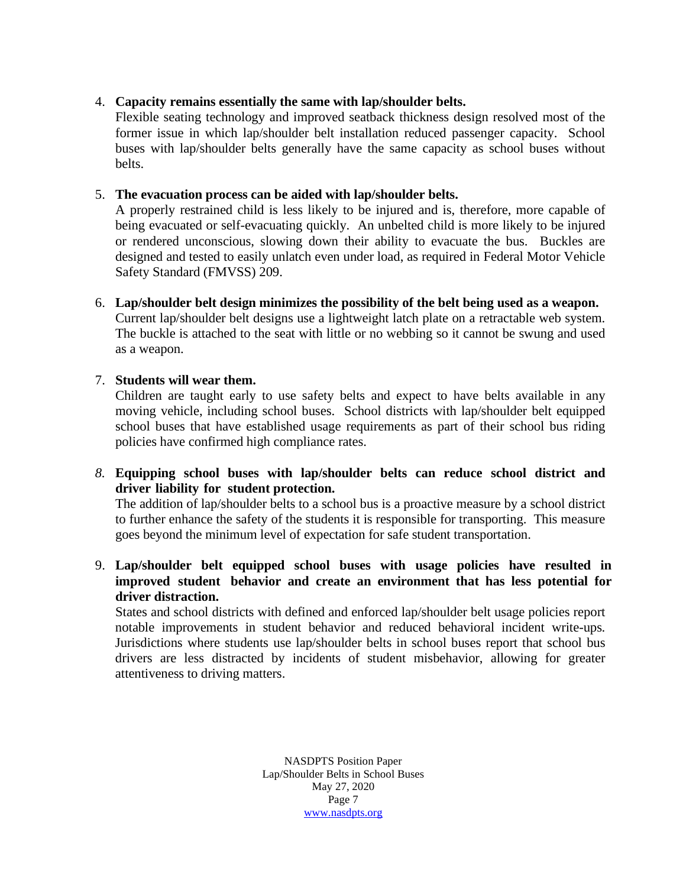# 4. **Capacity remains essentially the same with lap/shoulder belts.**

Flexible seating technology and improved seatback thickness design resolved most of the former issue in which lap/shoulder belt installation reduced passenger capacity. School buses with lap/shoulder belts generally have the same capacity as school buses without belts.

# 5. **The evacuation process can be aided with lap/shoulder belts.**

A properly restrained child is less likely to be injured and is, therefore, more capable of being evacuated or self-evacuating quickly. An unbelted child is more likely to be injured or rendered unconscious, slowing down their ability to evacuate the bus. Buckles are designed and tested to easily unlatch even under load, as required in Federal Motor Vehicle Safety Standard (FMVSS) 209.

6. **Lap/shoulder belt design minimizes the possibility of the belt being used as a weapon.** Current lap/shoulder belt designs use a lightweight latch plate on a retractable web system. The buckle is attached to the seat with little or no webbing so it cannot be swung and used as a weapon.

## 7. **Students will wear them.**

Children are taught early to use safety belts and expect to have belts available in any moving vehicle, including school buses. School districts with lap/shoulder belt equipped school buses that have established usage requirements as part of their school bus riding policies have confirmed high compliance rates.

# *8.* **Equipping school buses with lap/shoulder belts can reduce school district and driver liability for student protection.**

The addition of lap/shoulder belts to a school bus is a proactive measure by a school district to further enhance the safety of the students it is responsible for transporting. This measure goes beyond the minimum level of expectation for safe student transportation.

# 9. **Lap/shoulder belt equipped school buses with usage policies have resulted in improved student behavior and create an environment that has less potential for driver distraction.**

States and school districts with defined and enforced lap/shoulder belt usage policies report notable improvements in student behavior and reduced behavioral incident write-ups. Jurisdictions where students use lap/shoulder belts in school buses report that school bus drivers are less distracted by incidents of student misbehavior, allowing for greater attentiveness to driving matters.

> NASDPTS Position Paper Lap/Shoulder Belts in School Buses May 27, 2020 Page 7 [www.nasdpts.org](http://www.nasdpts.org/)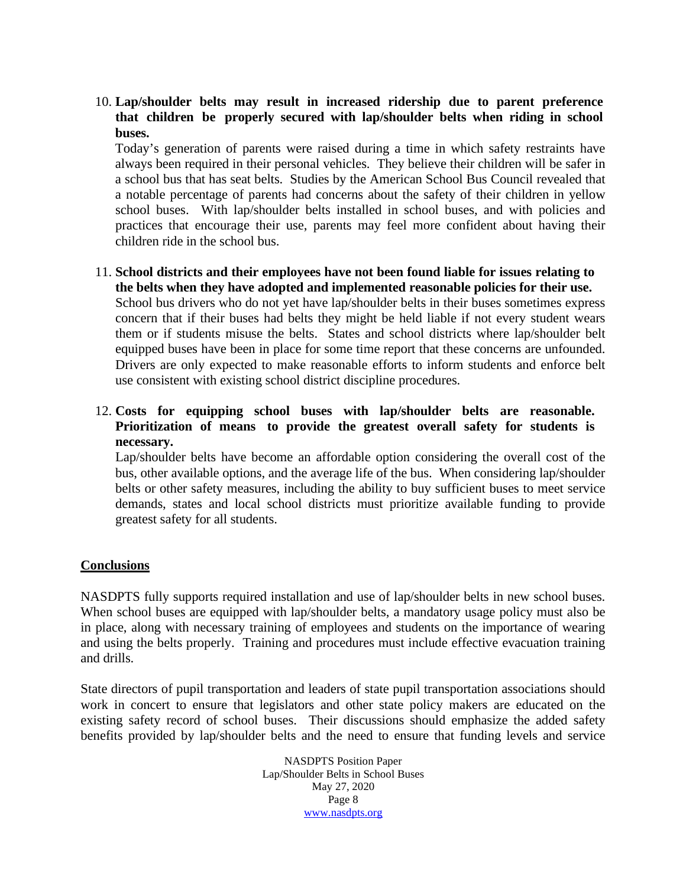# 10. **Lap/shoulder belts may result in increased ridership due to parent preference that children be properly secured with lap/shoulder belts when riding in school buses.**

Today's generation of parents were raised during a time in which safety restraints have always been required in their personal vehicles. They believe their children will be safer in a school bus that has seat belts. Studies by the American School Bus Council revealed that a notable percentage of parents had concerns about the safety of their children in yellow school buses. With lap/shoulder belts installed in school buses, and with policies and practices that encourage their use, parents may feel more confident about having their children ride in the school bus.

# 11. **School districts and their employees have not been found liable for issues relating to the belts when they have adopted and implemented reasonable policies for their use.** School bus drivers who do not yet have lap/shoulder belts in their buses sometimes express concern that if their buses had belts they might be held liable if not every student wears them or if students misuse the belts. States and school districts where lap/shoulder belt equipped buses have been in place for some time report that these concerns are unfounded. Drivers are only expected to make reasonable efforts to inform students and enforce belt use consistent with existing school district discipline procedures.

# 12. **Costs for equipping school buses with lap/shoulder belts are reasonable. Prioritization of means to provide the greatest overall safety for students is necessary.**

Lap/shoulder belts have become an affordable option considering the overall cost of the bus, other available options, and the average life of the bus. When considering lap/shoulder belts or other safety measures, including the ability to buy sufficient buses to meet service demands, states and local school districts must prioritize available funding to provide greatest safety for all students.

# **Conclusions**

NASDPTS fully supports required installation and use of lap/shoulder belts in new school buses. When school buses are equipped with lap/shoulder belts, a mandatory usage policy must also be in place, along with necessary training of employees and students on the importance of wearing and using the belts properly. Training and procedures must include effective evacuation training and drills.

State directors of pupil transportation and leaders of state pupil transportation associations should work in concert to ensure that legislators and other state policy makers are educated on the existing safety record of school buses. Their discussions should emphasize the added safety benefits provided by lap/shoulder belts and the need to ensure that funding levels and service

> NASDPTS Position Paper Lap/Shoulder Belts in School Buses May 27, 2020 Page 8 [www.nasdpts.org](http://www.nasdpts.org/)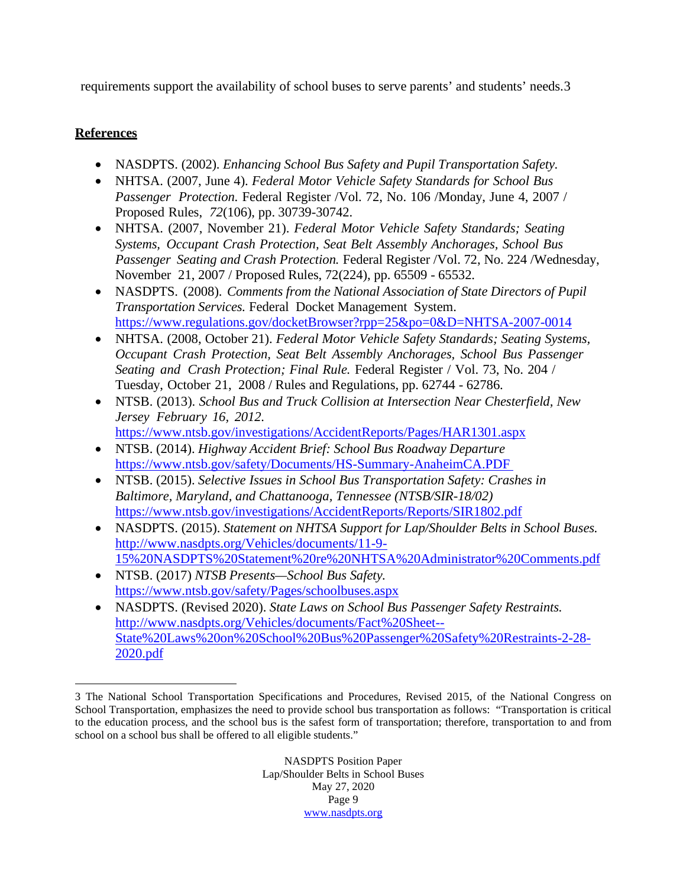requirements support the availability of school buses to serve parents' and students' needs.[3](#page-8-0)

# **References**

- NASDPTS. (2002). *Enhancing School Bus Safety and Pupil Transportation Safety.*
- NHTSA. (2007, June 4). *Federal Motor Vehicle Safety Standards for School Bus Passenger Protection.* Federal Register /Vol. 72, No. 106 /Monday, June 4, 2007 / Proposed Rules, *72*(106), pp. 30739-30742.
- NHTSA. (2007, November 21). *Federal Motor Vehicle Safety Standards; Seating Systems, Occupant Crash Protection, Seat Belt Assembly Anchorages, School Bus Passenger Seating and Crash Protection.* Federal Register /Vol. 72, No. 224 /Wednesday, November 21, 2007 / Proposed Rules, 72(224), pp. 65509 - 65532.
- NASDPTS. (2008). *Comments from the National Association of State Directors of Pupil Transportation Services.* Federal Docket Management System. <https://www.regulations.gov/docketBrowser?rpp=25&po=0&D=NHTSA-2007-0014>
- NHTSA. (2008, October 21). *Federal Motor Vehicle Safety Standards; Seating Systems, Occupant Crash Protection, Seat Belt Assembly Anchorages, School Bus Passenger Seating and Crash Protection; Final Rule.* Federal Register / Vol. 73, No. 204 / Tuesday, October 21, 2008 / Rules and Regulations, pp. 62744 - 62786.
- NTSB. (2013). *School Bus and Truck Collision at Intersection Near Chesterfield, New Jersey February 16, 2012.* <https://www.ntsb.gov/investigations/AccidentReports/Pages/HAR1301.aspx>
- NTSB. (2014). *Highway Accident Brief: School Bus Roadway Departure* <https://www.ntsb.gov/safety/Documents/HS-Summary-AnaheimCA.PDF>
- NTSB. (2015). *Selective Issues in School Bus Transportation Safety: Crashes in Baltimore, Maryland, and Chattanooga, Tennessee (NTSB/SIR-18/02)* <https://www.ntsb.gov/investigations/AccidentReports/Reports/SIR1802.pdf>
- NASDPTS. (2015). *Statement on NHTSA Support for Lap/Shoulder Belts in School Buses.* [http://www.nasdpts.org/Vehicles/documents/11-9-](http://www.nasdpts.org/Vehicles/documents/11-9-15%20NASDPTS%20Statement%20re%20NHTSA%20Administrator%20Comments.pdf) [15%20NASDPTS%20Statement%20re%20NHTSA%20Administrator%20Comments.pdf](http://www.nasdpts.org/Vehicles/documents/11-9-15%20NASDPTS%20Statement%20re%20NHTSA%20Administrator%20Comments.pdf)
- NTSB. (2017) *NTSB Presents—School Bus Safety.* <https://www.ntsb.gov/safety/Pages/schoolbuses.aspx>
- NASDPTS. (Revised 2020). *State Laws on School Bus Passenger Safety Restraints.* [http://www.nasdpts.org/Vehicles/documents/Fact%20Sheet--](http://www.nasdpts.org/Vehicles/documents/Fact%20Sheet--State%20Laws%20on%20School%20Bus%20Passenger%20Safety%20Restraints-2-28-2020.pdf) [State%20Laws%20on%20School%20Bus%20Passenger%20Safety%20Restraints-2-28-](http://www.nasdpts.org/Vehicles/documents/Fact%20Sheet--State%20Laws%20on%20School%20Bus%20Passenger%20Safety%20Restraints-2-28-2020.pdf) [2020.pdf](http://www.nasdpts.org/Vehicles/documents/Fact%20Sheet--State%20Laws%20on%20School%20Bus%20Passenger%20Safety%20Restraints-2-28-2020.pdf)

NASDPTS Position Paper Lap/Shoulder Belts in School Buses May 27, 2020 Page 9 [www.nasdpts.org](http://www.nasdpts.org/)

<span id="page-8-0"></span><sup>3</sup> The National School Transportation Specifications and Procedures, Revised 2015, of the National Congress on School Transportation, emphasizes the need to provide school bus transportation as follows: "Transportation is critical to the education process, and the school bus is the safest form of transportation; therefore, transportation to and from school on a school bus shall be offered to all eligible students."